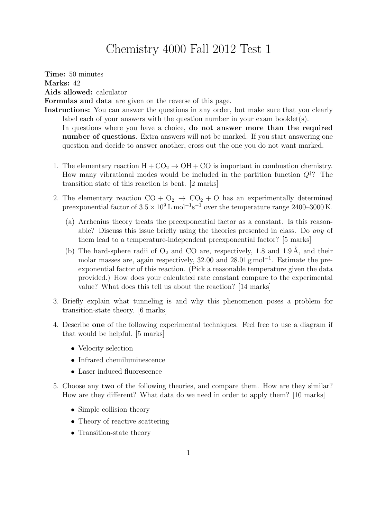## Chemistry 4000 Fall 2012 Test 1

Time: 50 minutes Marks: 42 Aids allowed: calculator Formulas and data are given on the reverse of this page.

Instructions: You can answer the questions in any order, but make sure that you clearly label each of your answers with the question number in your exam booklet(s). In questions where you have a choice, **do not answer more than the required** number of questions. Extra answers will not be marked. If you start answering one question and decide to answer another, cross out the one you do not want marked.

- 1. The elementary reaction  $H + CO<sub>2</sub> \rightarrow OH + CO$  is important in combustion chemistry. How many vibrational modes would be included in the partition function  $Q^{\ddagger}$ ? The transition state of this reaction is bent. [2 marks]
- 2. The elementary reaction  $CO + O_2 \rightarrow CO_2 + O$  has an experimentally determined preexponential factor of  $3.5 \times 10^9$  L mol<sup>-1</sup>s<sup>-1</sup> over the temperature range 2400–3000 K.
	- (a) Arrhenius theory treats the preexponential factor as a constant. Is this reasonable? Discuss this issue briefly using the theories presented in class. Do any of them lead to a temperature-independent preexponential factor? [5 marks]
	- (b) The hard-sphere radii of  $O_2$  and CO are, respectively, 1.8 and 1.9 Å, and their molar masses are, again respectively, 32.00 and 28.01 g mol<sup>-1</sup>. Estimate the preexponential factor of this reaction. (Pick a reasonable temperature given the data provided.) How does your calculated rate constant compare to the experimental value? What does this tell us about the reaction? [14 marks]
- 3. Briefly explain what tunneling is and why this phenomenon poses a problem for transition-state theory. [6 marks]
- 4. Describe one of the following experimental techniques. Feel free to use a diagram if that would be helpful. [5 marks]
	- Velocity selection
	- Infrared chemiluminescence
	- Laser induced fluorescence
- 5. Choose any two of the following theories, and compare them. How are they similar? How are they different? What data do we need in order to apply them? [10 marks]
	- Simple collision theory
	- Theory of reactive scattering
	- Transition-state theory